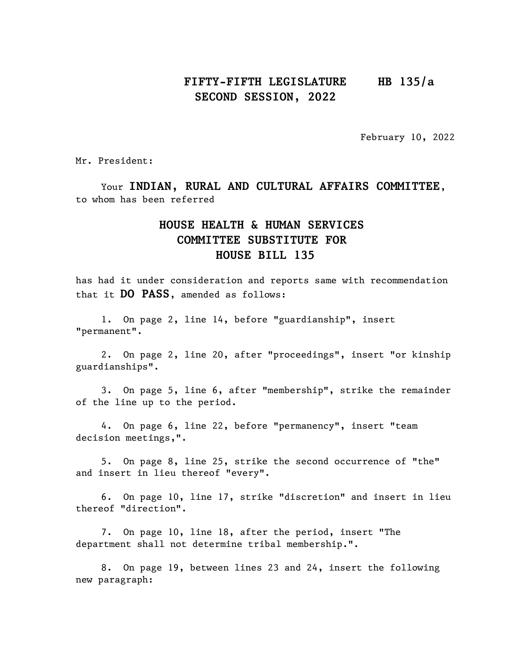# FIFTY-FIFTH LEGISLATURE HB 135/a SECOND SESSION, 2022

February 10, 2022

Mr. President:

Your INDIAN, RURAL AND CULTURAL AFFAIRS COMMITTEE, to whom has been referred

# HOUSE HEALTH & HUMAN SERVICES COMMITTEE SUBSTITUTE FOR HOUSE BILL 135

has had it under consideration and reports same with recommendation that it DO PASS, amended as follows:

1. On page 2, line 14, before "guardianship", insert "permanent".

2. On page 2, line 20, after "proceedings", insert "or kinship guardianships".

3. On page 5, line 6, after "membership", strike the remainder of the line up to the period.

4. On page 6, line 22, before "permanency", insert "team decision meetings,".

5. On page 8, line 25, strike the second occurrence of "the" and insert in lieu thereof "every".

6. On page 10, line 17, strike "discretion" and insert in lieu thereof "direction".

7. On page 10, line 18, after the period, insert "The department shall not determine tribal membership.".

8. On page 19, between lines 23 and 24, insert the following new paragraph: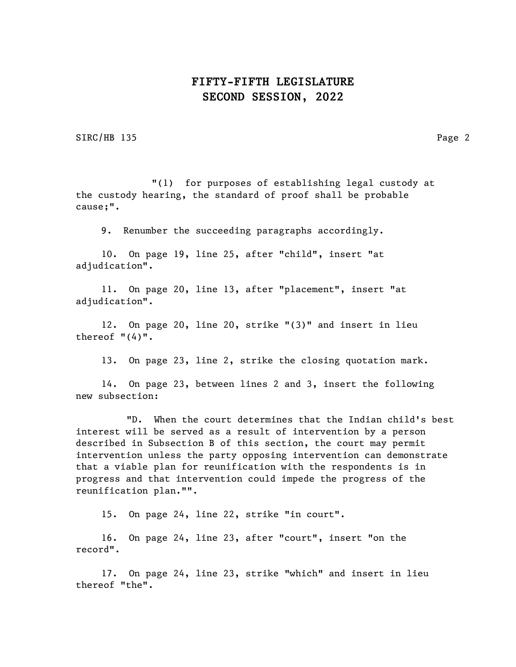SIRC/HB 135 Page 2

"(1) for purposes of establishing legal custody at the custody hearing, the standard of proof shall be probable cause;".

9. Renumber the succeeding paragraphs accordingly.

10. On page 19, line 25, after "child", insert "at adjudication".

11. On page 20, line 13, after "placement", insert "at adjudication".

12. On page 20, line 20, strike "(3)" and insert in lieu thereof  $"(4)"$ .

13. On page 23, line 2, strike the closing quotation mark.

14. On page 23, between lines 2 and 3, insert the following new subsection:

"D. When the court determines that the Indian child's best interest will be served as a result of intervention by a person described in Subsection B of this section, the court may permit intervention unless the party opposing intervention can demonstrate that a viable plan for reunification with the respondents is in progress and that intervention could impede the progress of the reunification plan."".

15. On page 24, line 22, strike "in court".

16. On page 24, line 23, after "court", insert "on the record".

17. On page 24, line 23, strike "which" and insert in lieu thereof "the".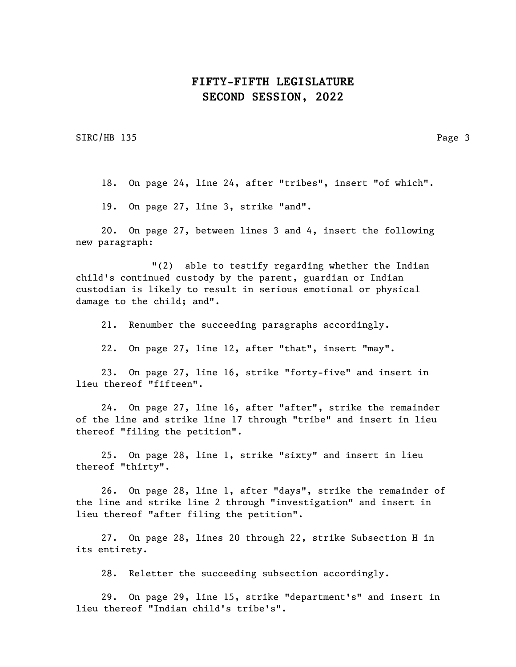SIRC/HB 135 Page 3

18. On page 24, line 24, after "tribes", insert "of which".

19. On page 27, line 3, strike "and".

20. On page 27, between lines 3 and 4, insert the following new paragraph:

"(2) able to testify regarding whether the Indian child's continued custody by the parent, guardian or Indian custodian is likely to result in serious emotional or physical damage to the child; and".

21. Renumber the succeeding paragraphs accordingly.

22. On page 27, line 12, after "that", insert "may".

23. On page 27, line 16, strike "forty-five" and insert in lieu thereof "fifteen".

24. On page 27, line 16, after "after", strike the remainder of the line and strike line 17 through "tribe" and insert in lieu thereof "filing the petition".

25. On page 28, line 1, strike "sixty" and insert in lieu thereof "thirty".

26. On page 28, line 1, after "days", strike the remainder of the line and strike line 2 through "investigation" and insert in lieu thereof "after filing the petition".

27. On page 28, lines 20 through 22, strike Subsection H in its entirety.

28. Reletter the succeeding subsection accordingly.

29. On page 29, line 15, strike "department's" and insert in lieu thereof "Indian child's tribe's".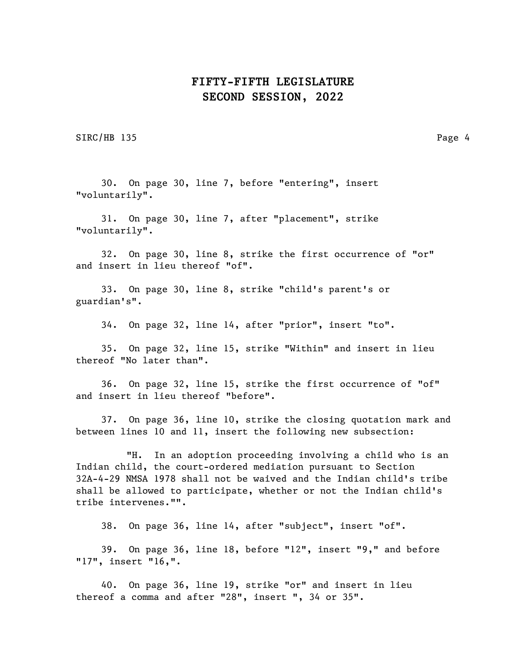SIRC/HB 135 Page 4

30. On page 30, line 7, before "entering", insert "voluntarily".

31. On page 30, line 7, after "placement", strike "voluntarily".

32. On page 30, line 8, strike the first occurrence of "or" and insert in lieu thereof "of".

33. On page 30, line 8, strike "child's parent's or guardian's".

34. On page 32, line 14, after "prior", insert "to".

35. On page 32, line 15, strike "Within" and insert in lieu thereof "No later than".

36. On page 32, line 15, strike the first occurrence of "of" and insert in lieu thereof "before".

37. On page 36, line 10, strike the closing quotation mark and between lines 10 and 11, insert the following new subsection:

"H. In an adoption proceeding involving a child who is an Indian child, the court-ordered mediation pursuant to Section 32A-4-29 NMSA 1978 shall not be waived and the Indian child's tribe shall be allowed to participate, whether or not the Indian child's tribe intervenes."".

38. On page 36, line 14, after "subject", insert "of".

39. On page 36, line 18, before "12", insert "9," and before "17", insert "16,".

40. On page 36, line 19, strike "or" and insert in lieu thereof a comma and after "28", insert ", 34 or 35".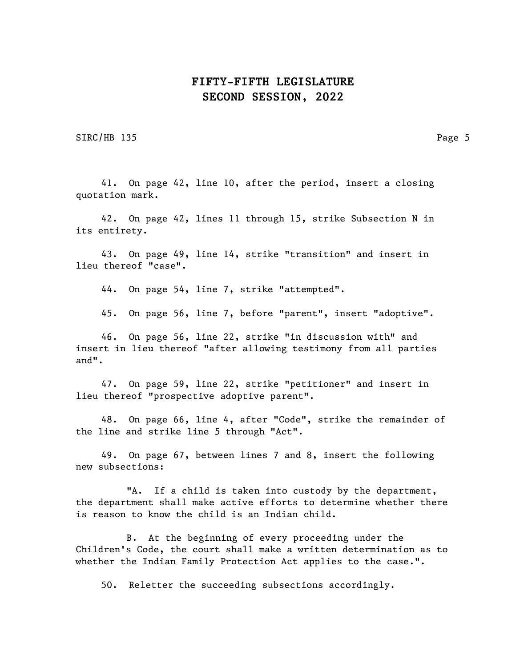SIRC/HB 135 Page 5

41. On page 42, line 10, after the period, insert a closing quotation mark.

42. On page 42, lines 11 through 15, strike Subsection N in its entirety.

43. On page 49, line 14, strike "transition" and insert in lieu thereof "case".

44. On page 54, line 7, strike "attempted".

45. On page 56, line 7, before "parent", insert "adoptive".

46. On page 56, line 22, strike "in discussion with" and insert in lieu thereof "after allowing testimony from all parties and".

47. On page 59, line 22, strike "petitioner" and insert in lieu thereof "prospective adoptive parent".

48. On page 66, line 4, after "Code", strike the remainder of the line and strike line 5 through "Act".

49. On page 67, between lines 7 and 8, insert the following new subsections:

"A. If a child is taken into custody by the department, the department shall make active efforts to determine whether there is reason to know the child is an Indian child.

B. At the beginning of every proceeding under the Children's Code, the court shall make a written determination as to whether the Indian Family Protection Act applies to the case.".

50. Reletter the succeeding subsections accordingly.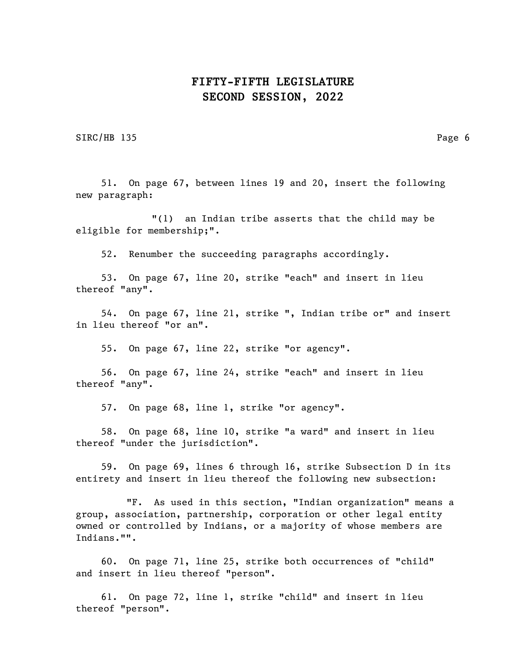SIRC/HB 135 Page 6

51. On page 67, between lines 19 and 20, insert the following new paragraph:

"(1) an Indian tribe asserts that the child may be eligible for membership;".

52. Renumber the succeeding paragraphs accordingly.

53. On page 67, line 20, strike "each" and insert in lieu thereof "any".

54. On page 67, line 21, strike ", Indian tribe or" and insert in lieu thereof "or an".

55. On page 67, line 22, strike "or agency".

56. On page 67, line 24, strike "each" and insert in lieu thereof "any".

57. On page 68, line 1, strike "or agency".

58. On page 68, line 10, strike "a ward" and insert in lieu thereof "under the jurisdiction".

59. On page 69, lines 6 through 16, strike Subsection D in its entirety and insert in lieu thereof the following new subsection:

"F. As used in this section, "Indian organization" means a group, association, partnership, corporation or other legal entity owned or controlled by Indians, or a majority of whose members are Indians."".

60. On page 71, line 25, strike both occurrences of "child" and insert in lieu thereof "person".

61. On page 72, line 1, strike "child" and insert in lieu thereof "person".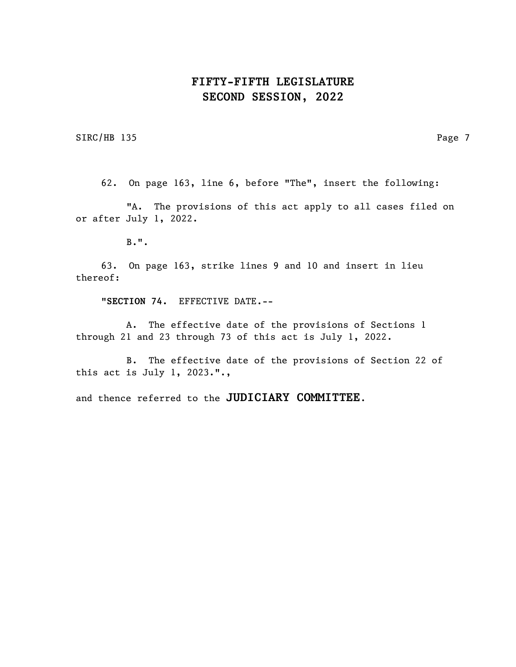SIRC/HB 135 Page 7

62. On page 163, line 6, before "The", insert the following:

"A. The provisions of this act apply to all cases filed on or after July 1, 2022.

B.".

63. On page 163, strike lines 9 and 10 and insert in lieu thereof:

"SECTION 74. EFFECTIVE DATE.--

A. The effective date of the provisions of Sections 1 through 21 and 23 through 73 of this act is July 1, 2022.

B. The effective date of the provisions of Section 22 of this act is July 1, 2023.".,

and thence referred to the JUDICIARY COMMITTEE.